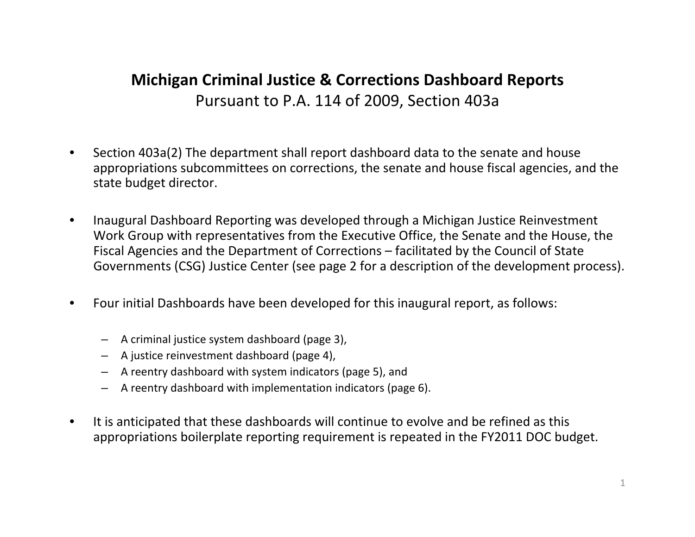# **Michigan Criminal Justice & Corrections Dashboard Reports** Pursuant to P.A. 114 of 2009, Section 403a

- •• Section 403a(2) The department shall report dashboard data to the senate and house appropriations subcommittees on corrections, the senate and house fiscal agencies, and the state budget director.
- $\bullet$  Inaugural Dashboard Reporting was developed through <sup>a</sup> Michigan Justice Reinvestment Work Group with representatives from the Executive Office, the Senate and the House, the Fiscal Agencies and the Department of Corrections – facilitated by the Council of State Governments (CSG) Justice Center (see page 2 for <sup>a</sup> description of the development process).
- • Four initial Dashboards have been developed for this inaugural report, as follows:
	- –A criminal justice system dashboard (page 3),
	- –A justice reinvestment dashboard (page 4),
	- A reentry dashboard with system indicators (page 5), and
	- –A reentry dashboard with implementation indicators (page 6).
- •• It is anticipated that these dashboards will continue to evolve and be refined as this appropriations boilerplate reporting requirement is repeated in the FY2011 DOC budget.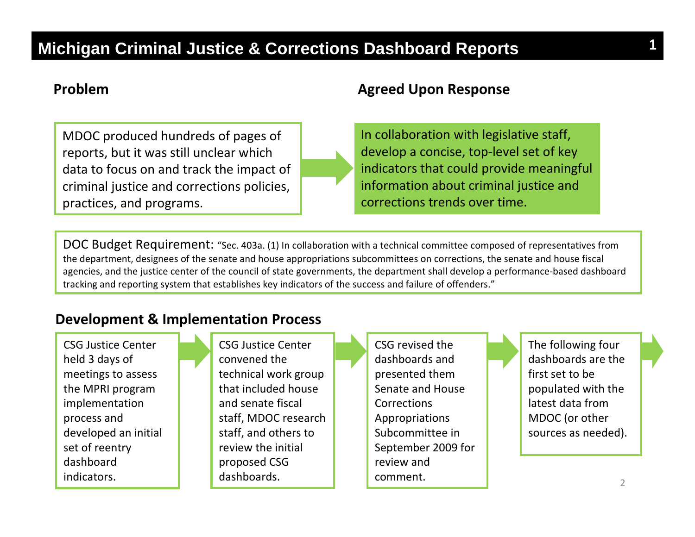#### **Problem**

MDOC produced hundreds of pages of reports, but it was still unclear which data to focus on and track the impact of criminal justice and corrections policies, practices, and programs.

#### **Agreed Upon Response**

In collaboration with legislative staff, develop a concise, top‐level set of key indicators that could provide meaningful information about criminal justice and corrections trends over time.

DOC Budget Requirement: "Sec. 403a. (1) In collaboration with <sup>a</sup> technical committee composed of representatives from the department, designees of the senate and house appropriations subcommittees on corrections, the senate and house fiscal agencies, and the justice center of the council of state governments, the department shall develop <sup>a</sup> performance‐based dashboard tracking and reporting system that establishes key indicators of the success and failure of offenders."

#### **Development & Implementation Process**

CSG Justice Center held 3 days of meetings to assess the MPRI program implementation process and developed an initial set of reentry dashboardindicators.

CSG Justice Center convened the technical work group that included house and senate fiscal staff, MDOC research staff, and others to review the initial proposed CSG dashboards.

CSG revised the dashboards andpresented them Senate and House CorrectionsAppropriations Subcommittee inSeptember 2009 for review and comment.

The following four dashboards are the first set to be populated with the latest data fromMDOC (or other sources as needed).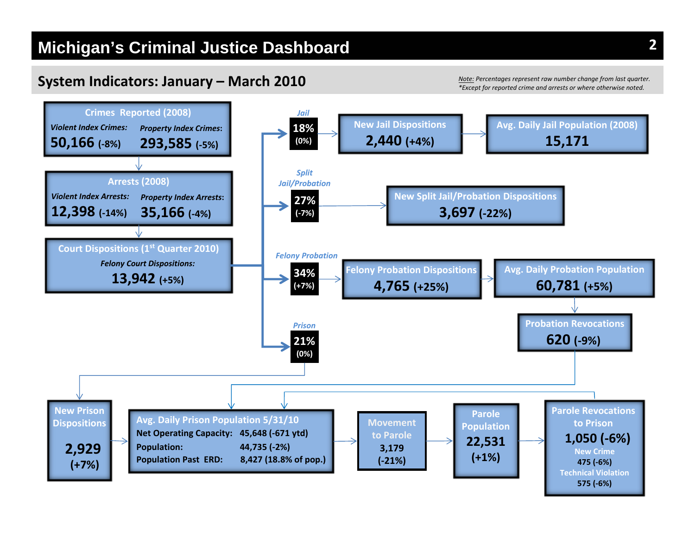#### **System Indicators: January – March 2010**

*Note: Percentages represent raw number change from last quarter. \*Except for reported crime and arrests or where otherwise noted.*

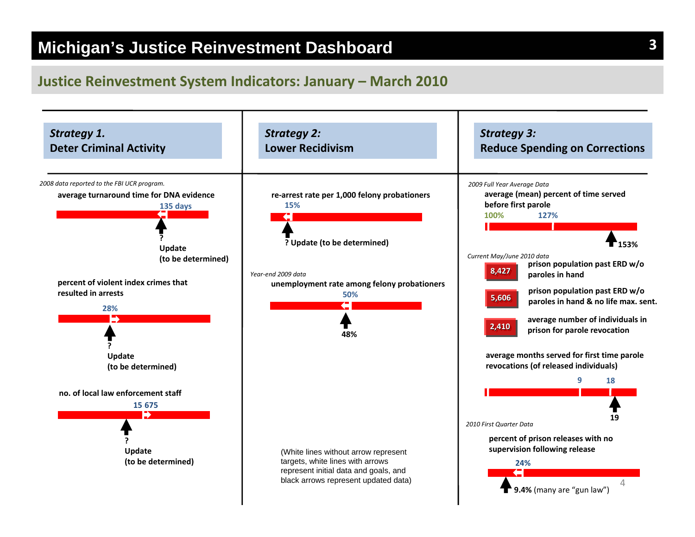#### **Justice Reinvestment System Indicators: January – March 2010**

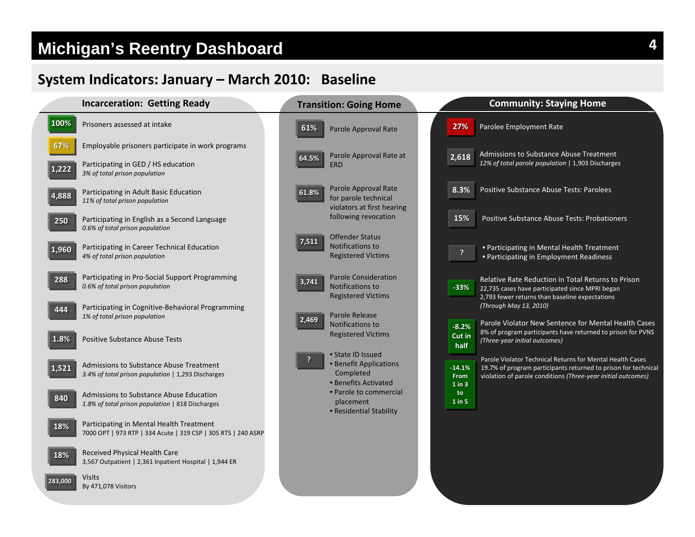# **Michigan's Reentry Dashboard**

### **System Indicators: January – March 2010: Baseline**

|       | <b>Incarceration: Getting Ready</b>                                                                       |       | <b>Transition: Going Home</b>                                              |                  | <b>Community: Staying Home</b>                                                                                                |  |
|-------|-----------------------------------------------------------------------------------------------------------|-------|----------------------------------------------------------------------------|------------------|-------------------------------------------------------------------------------------------------------------------------------|--|
| 100%  | Prisoners assessed at intake                                                                              | 61%   | Parole Approval Rate                                                       | 27%              | Parolee Employment Rate                                                                                                       |  |
| 67%   | Employable prisoners participate in work programs                                                         |       | Parole Approval Rate at                                                    | 2,618            | Admissions to Substance Abuse Treatment                                                                                       |  |
| 1,222 | Participating in GED / HS education<br>3% of total prison population                                      | 64.5% | <b>ERD</b>                                                                 |                  | 12% of total parole population   1,903 Discharges                                                                             |  |
| 4,888 | Participating in Adult Basic Education<br>11% of total prison population                                  | 61.8% | Parole Approval Rate<br>for parole technical<br>violators at first hearing | 8.3%             | Positive Substance Abuse Tests: Parolees                                                                                      |  |
| 250   | Participating in English as a Second Language<br>0.6% of total prison population                          |       | following revocation                                                       | 15%              | Positive Substance Abuse Tests: Probationers                                                                                  |  |
|       | Participating in Career Technical Education                                                               | 7,511 | <b>Offender Status</b><br>Notifications to                                 |                  |                                                                                                                               |  |
| 1,960 | 4% of total prison population                                                                             |       | <b>Registered Victims</b>                                                  | <sup>?</sup>     | • Participating in Mental Health Treatment<br>• Participating in Employment Readiness                                         |  |
| 288   | Participating in Pro-Social Support Programming<br>0.6% of total prison population                        | 3,741 | <b>Parole Consideration</b><br>Notifications to                            | $-33%$           | Relative Rate Reduction in Total Returns to Prison                                                                            |  |
|       |                                                                                                           |       | <b>Registered Victims</b>                                                  |                  | 22,735 cases have participated since MPRI began<br>2,793 fewer returns than baseline expectations                             |  |
| 444   | Participating in Cognitive-Behavioral Programming<br>1% of total prison population                        |       | Parole Release                                                             |                  | (Through May 13, 2010)                                                                                                        |  |
|       |                                                                                                           | 2,469 | Notifications to                                                           | $-8.2%$          | Parole Violator New Sentence for Mental Health Cases                                                                          |  |
| 1.8%  | <b>Positive Substance Abuse Tests</b>                                                                     |       | <b>Registered Victims</b>                                                  | Cut in<br>half   | 8% of program participants have returned to prison for PVNS<br>(Three-year initial outcomes)                                  |  |
|       |                                                                                                           |       | • State ID Issued<br>• Benefit Applications                                |                  | Parole Violator Technical Returns for Mental Health Cases                                                                     |  |
| 1,521 | Admissions to Substance Abuse Treatment<br>3.4% of total prison population   1,293 Discharges             |       | Completed                                                                  | $-14.1%$<br>From | 19.7% of program participants returned to prison for technica<br>violation of parole conditions (Three-year initial outcomes) |  |
|       |                                                                                                           |       | • Benefits Activated<br>• Parole to commercial                             | $1$ in $3$       |                                                                                                                               |  |
| 840   | Admissions to Substance Abuse Education<br>1.8% of total prison population   818 Discharges               |       | placement                                                                  | to<br>$1$ in 5   |                                                                                                                               |  |
|       |                                                                                                           |       | • Residential Stability                                                    |                  |                                                                                                                               |  |
| 18%   | Participating in Mental Health Treatment<br>7000 OPT   973 RTP   334 Acute   319 CSP   305 RTS   240 ASRP |       |                                                                            |                  |                                                                                                                               |  |
| 18%   | Received Physical Health Care<br>3,567 Outpatient   2,361 Inpatient Hospital   1,944 ER                   |       |                                                                            |                  |                                                                                                                               |  |

Visits By 471,078 Visitors **283,000 283,000** **4**